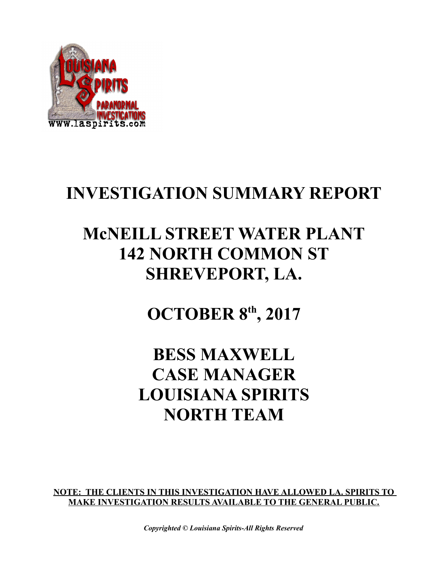

### **INVESTIGATION SUMMARY REPORT**

## **McNEILL STREET WATER PLANT 142 NORTH COMMON ST SHREVEPORT, LA.**

**OCTOBER 8th, 2017**

### **BESS MAXWELL CASE MANAGER LOUISIANA SPIRITS NORTH TEAM**

**NOTE: THE CLIENTS IN THIS INVESTIGATION HAVE ALLOWED LA. SPIRITS TO MAKE INVESTIGATION RESULTS AVAILABLE TO THE GENERAL PUBLIC.**

*Copyrighted © Louisiana Spirits-All Rights Reserved*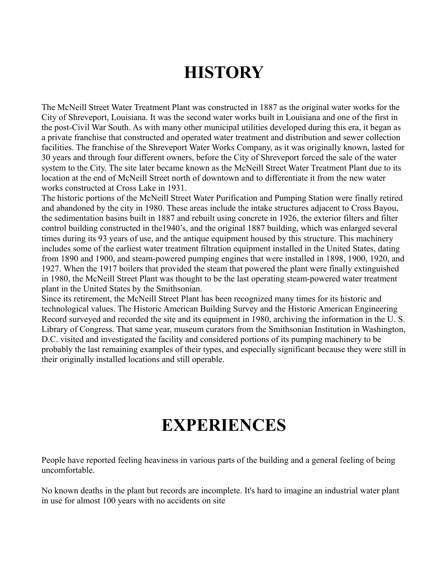# **HISTORY**

The McNeill Street Water Treatment Plant was constructed in 1887 as the original water works for the City of Shreveport, Louisiana. It was the second water works built in Louisiana and one of the first in the post-Civil War South. As with many other municipal utilities developed during this era, it began as a private franchise that constructed and operated water treatment and distribution and sewer collection facilities. The franchise of the Shreveport Water Works Company, as it was originally known, lasted for 30 years and through four different owners, before the City of Shreveport forced the sale of the water system to the City. The site later became known as the McNeill Street Water Treatment Plant due to its location at the end of McNeill Street north of downtown and to differentiate it from the new water works constructed at Cross Lake in 1931.

The historic portions of the McNeill Street Water Purification and Pumping Station were finally retired and abandoned by the city in 1980. These areas include the intake structures adjacent to Cross Bayou, the sedimentation basins built in 1887 and rebuilt using concrete in 1926, the exterior filters and filter control building constructed in the1940's, and the original 1887 building, which was enlarged several times during its 93 years of use, and the antique equipment housed by this structure. This machinery includes some of the earliest water treatment filtration equipment installed in the United States, dating from 1890 and 1900, and steam-powered pumping engines that were installed in 1898, 1900, 1920, and 1927. When the 1917 boilers that provided the steam that powered the plant were finally extinguished in 1980, the McNeill Street Plant was thought to be the last operating steam-powered water treatment plant in the United States by the Smithsonian.

Since its retirement, the McNeill Street Plant has been recognized many times for its historic and technological values. The Historic American Building Survey and the Historic American Engineering Record surveyed and recorded the site and its equipment in 1980, archiving the information in the U. S. Library of Congress. That same year, museum curators from the Smithsonian Institution in Washington, D.C. visited and investigated the facility and considered portions of its pumping machinery to be probably the last remaining examples of their types, and especially significant because they were still in their originally installed locations and still operable.

### **EXPERIENCES**

People have reported feeling heaviness in various parts of the building and a general feeling of being uncomfortable.

No known deaths in the plant but records are incomplete. It's hard to imagine an industrial water plant in use for almost 100 years with no accidents on site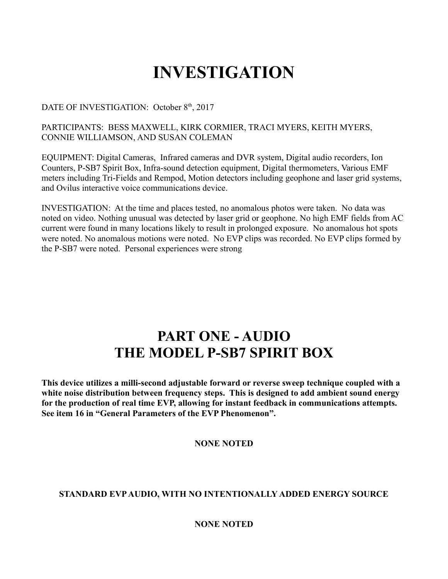# **INVESTIGATION**

#### DATE OF INVESTIGATION: October 8<sup>th</sup>, 2017

#### PARTICIPANTS: BESS MAXWELL, KIRK CORMIER, TRACI MYERS, KEITH MYERS, CONNIE WILLIAMSON, AND SUSAN COLEMAN

EQUIPMENT: Digital Cameras, Infrared cameras and DVR system, Digital audio recorders, Ion Counters, P-SB7 Spirit Box, Infra-sound detection equipment, Digital thermometers, Various EMF meters including Tri-Fields and Rempod, Motion detectors including geophone and laser grid systems, and Ovilus interactive voice communications device.

INVESTIGATION: At the time and places tested, no anomalous photos were taken. No data was noted on video. Nothing unusual was detected by laser grid or geophone. No high EMF fields from AC current were found in many locations likely to result in prolonged exposure. No anomalous hot spots were noted. No anomalous motions were noted. No EVP clips was recorded. No EVP clips formed by the P-SB7 were noted. Personal experiences were strong

### **PART ONE - AUDIO THE MODEL P-SB7 SPIRIT BOX**

**This device utilizes a milli-second adjustable forward or reverse sweep technique coupled with a white noise distribution between frequency steps. This is designed to add ambient sound energy for the production of real time EVP, allowing for instant feedback in communications attempts. See item 16 in "General Parameters of the EVP Phenomenon".** 

#### **NONE NOTED**

#### **STANDARD EVP AUDIO, WITH NO INTENTIONALLY ADDED ENERGY SOURCE**

#### **NONE NOTED**